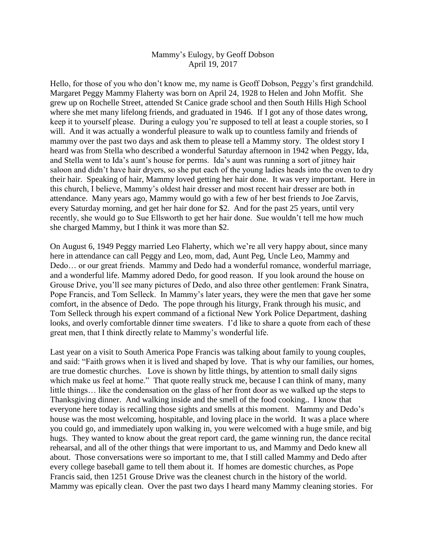## Mammy's Eulogy, by Geoff Dobson April 19, 2017

Hello, for those of you who don't know me, my name is Geoff Dobson, Peggy's first grandchild. Margaret Peggy Mammy Flaherty was born on April 24, 1928 to Helen and John Moffit. She grew up on Rochelle Street, attended St Canice grade school and then South Hills High School where she met many lifelong friends, and graduated in 1946. If I got any of those dates wrong, keep it to yourself please. During a eulogy you're supposed to tell at least a couple stories, so I will. And it was actually a wonderful pleasure to walk up to countless family and friends of mammy over the past two days and ask them to please tell a Mammy story. The oldest story I heard was from Stella who described a wonderful Saturday afternoon in 1942 when Peggy, Ida, and Stella went to Ida's aunt's house for perms. Ida's aunt was running a sort of jitney hair saloon and didn't have hair dryers, so she put each of the young ladies heads into the oven to dry their hair. Speaking of hair, Mammy loved getting her hair done. It was very important. Here in this church, I believe, Mammy's oldest hair dresser and most recent hair dresser are both in attendance. Many years ago, Mammy would go with a few of her best friends to Joe Zarvis, every Saturday morning, and get her hair done for \$2. And for the past 25 years, until very recently, she would go to Sue Ellsworth to get her hair done. Sue wouldn't tell me how much she charged Mammy, but I think it was more than \$2.

On August 6, 1949 Peggy married Leo Flaherty, which we're all very happy about, since many here in attendance can call Peggy and Leo, mom, dad, Aunt Peg, Uncle Leo, Mammy and Dedo… or our great friends. Mammy and Dedo had a wonderful romance, wonderful marriage, and a wonderful life. Mammy adored Dedo, for good reason. If you look around the house on Grouse Drive, you'll see many pictures of Dedo, and also three other gentlemen: Frank Sinatra, Pope Francis, and Tom Selleck. In Mammy's later years, they were the men that gave her some comfort, in the absence of Dedo. The pope through his liturgy, Frank through his music, and Tom Selleck through his expert command of a fictional New York Police Department, dashing looks, and overly comfortable dinner time sweaters. I'd like to share a quote from each of these great men, that I think directly relate to Mammy's wonderful life.

Last year on a visit to South America Pope Francis was talking about family to young couples, and said: "Faith grows when it is lived and shaped by love. That is why our families, our homes, are true domestic churches. Love is shown by little things, by attention to small daily signs which make us feel at home." That quote really struck me, because I can think of many, many little things… like the condensation on the glass of her front door as we walked up the steps to Thanksgiving dinner. And walking inside and the smell of the food cooking.. I know that everyone here today is recalling those sights and smells at this moment. Mammy and Dedo's house was the most welcoming, hospitable, and loving place in the world. It was a place where you could go, and immediately upon walking in, you were welcomed with a huge smile, and big hugs. They wanted to know about the great report card, the game winning run, the dance recital rehearsal, and all of the other things that were important to us, and Mammy and Dedo knew all about. Those conversations were so important to me, that I still called Mammy and Dedo after every college baseball game to tell them about it. If homes are domestic churches, as Pope Francis said, then 1251 Grouse Drive was the cleanest church in the history of the world. Mammy was epically clean. Over the past two days I heard many Mammy cleaning stories. For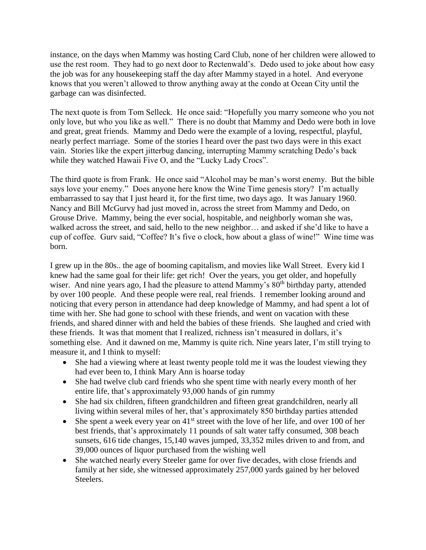instance, on the days when Mammy was hosting Card Club, none of her children were allowed to use the rest room. They had to go next door to Rectenwald's. Dedo used to joke about how easy the job was for any housekeeping staff the day after Mammy stayed in a hotel. And everyone knows that you weren't allowed to throw anything away at the condo at Ocean City until the garbage can was disinfected.

The next quote is from Tom Selleck. He once said: "Hopefully you marry someone who you not only love, but who you like as well." There is no doubt that Mammy and Dedo were both in love and great, great friends. Mammy and Dedo were the example of a loving, respectful, playful, nearly perfect marriage. Some of the stories I heard over the past two days were in this exact vain. Stories like the expert jitterbug dancing, interrupting Mammy scratching Dedo's back while they watched Hawaii Five O, and the "Lucky Lady Crocs".

The third quote is from Frank. He once said "Alcohol may be man's worst enemy. But the bible says love your enemy." Does anyone here know the Wine Time genesis story? I'm actually embarrassed to say that I just heard it, for the first time, two days ago. It was January 1960. Nancy and Bill McGurvy had just moved in, across the street from Mammy and Dedo, on Grouse Drive. Mammy, being the ever social, hospitable, and neighborly woman she was, walked across the street, and said, hello to the new neighbor… and asked if she'd like to have a cup of coffee. Gurv said, "Coffee? It's five o clock, how about a glass of wine!" Wine time was born.

I grew up in the 80s.. the age of booming capitalism, and movies like Wall Street. Every kid I knew had the same goal for their life: get rich! Over the years, you get older, and hopefully wiser. And nine years ago, I had the pleasure to attend Mammy's 80<sup>th</sup> birthday party, attended by over 100 people. And these people were real, real friends. I remember looking around and noticing that every person in attendance had deep knowledge of Mammy, and had spent a lot of time with her. She had gone to school with these friends, and went on vacation with these friends, and shared dinner with and held the babies of these friends. She laughed and cried with these friends. It was that moment that I realized, richness isn't measured in dollars, it's something else. And it dawned on me, Mammy is quite rich. Nine years later, I'm still trying to measure it, and I think to myself:

- She had a viewing where at least twenty people told me it was the loudest viewing they had ever been to, I think Mary Ann is hoarse today
- She had twelve club card friends who she spent time with nearly every month of her entire life, that's approximately 93,000 hands of gin rummy
- She had six children, fifteen grandchildren and fifteen great grandchildren, nearly all living within several miles of her, that's approximately 850 birthday parties attended
- $\bullet$  She spent a week every year on 41<sup>st</sup> street with the love of her life, and over 100 of her best friends, that's approximately 11 pounds of salt water taffy consumed, 308 beach sunsets, 616 tide changes, 15,140 waves jumped, 33,352 miles driven to and from, and 39,000 ounces of liquor purchased from the wishing well
- She watched nearly every Steeler game for over five decades, with close friends and family at her side, she witnessed approximately 257,000 yards gained by her beloved Steelers.